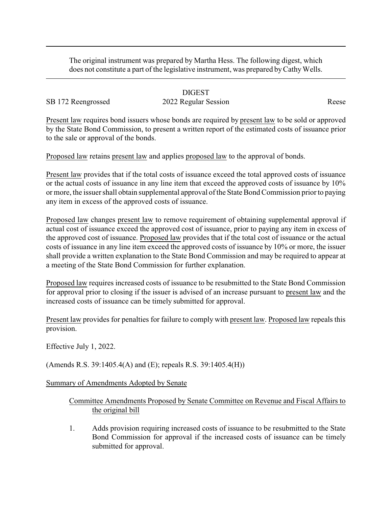The original instrument was prepared by Martha Hess. The following digest, which does not constitute a part of the legislative instrument, was prepared byCathyWells.

## DIGEST SB 172 Reengrossed 2022 Regular Session Reese

Present law requires bond issuers whose bonds are required by present law to be sold or approved by the State Bond Commission, to present a written report of the estimated costs of issuance prior to the sale or approval of the bonds.

Proposed law retains present law and applies proposed law to the approval of bonds.

Present law provides that if the total costs of issuance exceed the total approved costs of issuance or the actual costs of issuance in any line item that exceed the approved costs of issuance by 10% or more, the issuer shall obtain supplemental approval of the State Bond Commission prior to paying any item in excess of the approved costs of issuance.

Proposed law changes present law to remove requirement of obtaining supplemental approval if actual cost of issuance exceed the approved cost of issuance, prior to paying any item in excess of the approved cost of issuance. Proposed law provides that if the total cost of issuance or the actual costs of issuance in any line item exceed the approved costs of issuance by 10% or more, the issuer shall provide a written explanation to the State Bond Commission and may be required to appear at a meeting of the State Bond Commission for further explanation.

Proposed law requires increased costs of issuance to be resubmitted to the State Bond Commission for approval prior to closing if the issuer is advised of an increase pursuant to present law and the increased costs of issuance can be timely submitted for approval.

Present law provides for penalties for failure to comply with present law. Proposed law repeals this provision.

Effective July 1, 2022.

(Amends R.S. 39:1405.4(A) and (E); repeals R.S. 39:1405.4(H))

## Summary of Amendments Adopted by Senate

## Committee Amendments Proposed by Senate Committee on Revenue and Fiscal Affairs to the original bill

1. Adds provision requiring increased costs of issuance to be resubmitted to the State Bond Commission for approval if the increased costs of issuance can be timely submitted for approval.